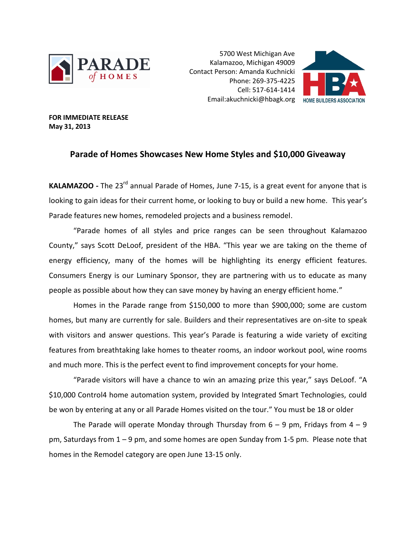

5700 West Michigan Ave Kalamazoo, Michigan 49009 Contact Person: Amanda Kuchnicki Phone: 269-375-4225 Cell: 517-614-1414 Email:akuchnicki@hbagk.org



**FOR IMMEDIATE RELEASE May 31, 2013**

## **Parade of Homes Showcases New Home Styles and \$10,000 Giveaway**

KALAMAZOO - The 23<sup>rd</sup> annual Parade of Homes, June 7-15, is a great event for anyone that is looking to gain ideas for their current home, or looking to buy or build a new home. This year's Parade features new homes, remodeled projects and a business remodel.

"Parade homes of all styles and price ranges can be seen throughout Kalamazoo County," says Scott DeLoof, president of the HBA. "This year we are taking on the theme of energy efficiency, many of the homes will be highlighting its energy efficient features. Consumers Energy is our Luminary Sponsor, they are partnering with us to educate as many people as possible about how they can save money by having an energy efficient home."

Homes in the Parade range from \$150,000 to more than \$900,000; some are custom homes, but many are currently for sale. Builders and their representatives are on-site to speak with visitors and answer questions. This year's Parade is featuring a wide variety of exciting features from breathtaking lake homes to theater rooms, an indoor workout pool, wine rooms and much more. This is the perfect event to find improvement concepts for your home.

"Parade visitors will have a chance to win an amazing prize this year," says DeLoof. "A \$10,000 Control4 home automation system, provided by Integrated Smart Technologies, could be won by entering at any or all Parade Homes visited on the tour." You must be 18 or older

The Parade will operate Monday through Thursday from  $6 - 9$  pm, Fridays from  $4 - 9$ pm, Saturdays from 1 – 9 pm, and some homes are open Sunday from 1-5 pm. Please note that homes in the Remodel category are open June 13-15 only.